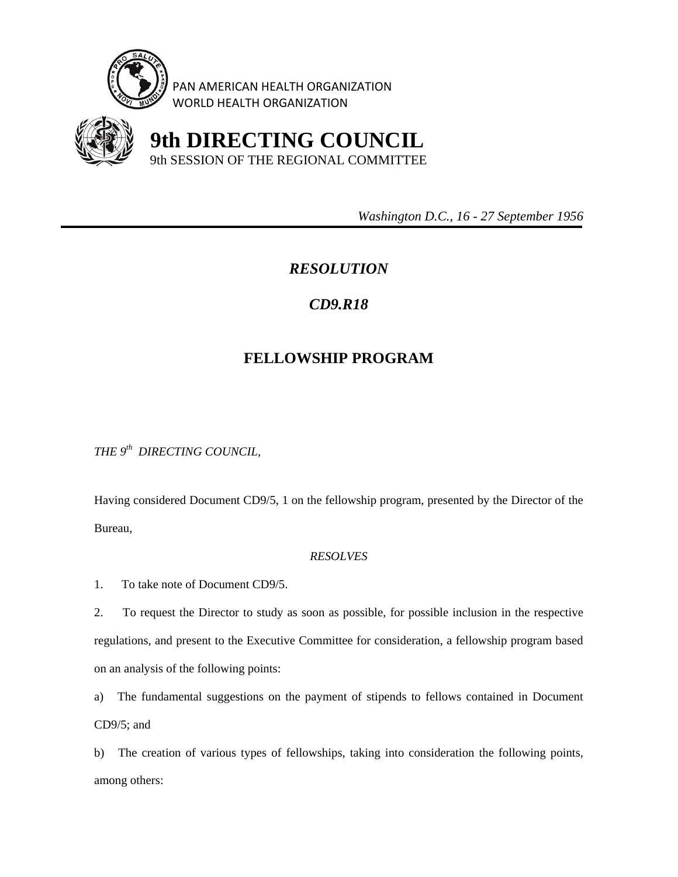

PAN AMERICAN HEALTH ORGANIZATION WORLD HEALTH ORGANIZATION



 **9th DIRECTING COUNCIL** 9th SESSION OF THE REGIONAL COMMITTEE

 *Washington D.C., 16 - 27 September 1956* 

## *RESOLUTION*

## *CD9.R18*

## **FELLOWSHIP PROGRAM**

*THE 9th DIRECTING COUNCIL,* 

Having considered Document CD9/5, 1 on the fellowship program, presented by the Director of the Bureau,

## *RESOLVES*

1. To take note of Document CD9/5.

2. To request the Director to study as soon as possible, for possible inclusion in the respective regulations, and present to the Executive Committee for consideration, a fellowship program based on an analysis of the following points:

a) The fundamental suggestions on the payment of stipends to fellows contained in Document CD9/5; and

b) The creation of various types of fellowships, taking into consideration the following points, among others: